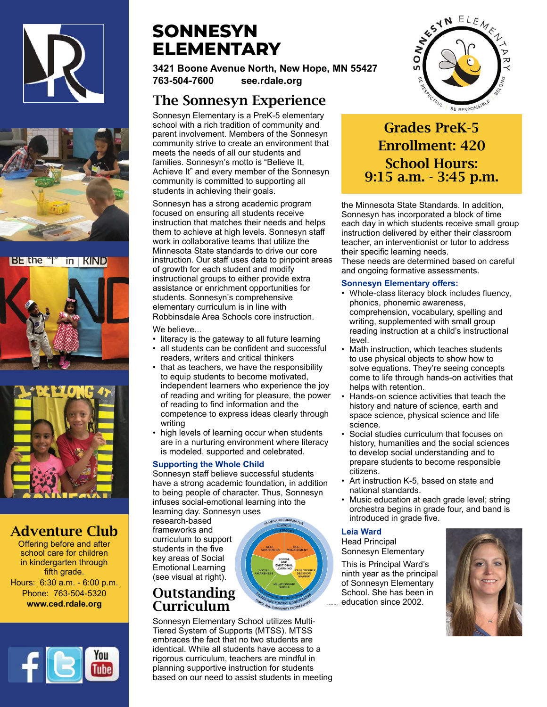



#### BE the "I" in KIND





## Adventure Club

Offering before and after school care for children in kindergarten through fifth grade. Hours: 6:30 a.m. - 6:00 p.m. Phone: 763-504-5320 www.ced.rdale.org



## **SONNESYN** ELEMENTARY

3421 Boone Avenue North, New Hope, MN 55427 763-504-7600 see.rdale.org

## The Sonnesyn Experience

Sonnesyn Elementary is a PreK-5 elementary school with a rich tradition of community and parent involvement. Members of the Sonnesyn community strive to create an environment that meets the needs of all our students and families. Sonnesyn's motto is "Believe It, Achieve It" and every member of the Sonnesyn community is committed to supporting all students in achieving their goals.

Sonnesyn has a strong academic program focused on ensuring all students receive instruction that matches their needs and helps them to achieve at high levels. Sonnesyn staff work in collaborative teams that utilize the Minnesota State standards to drive our core instruction. Our staff uses data to pinpoint areas of growth for each student and modify instructional groups to either provide extra assistance or enrichment opportunities for students. Sonnesyn's comprehensive elementary curriculum is in line with Robbinsdale Area Schools core instruction.

We believe...

- literacy is the gateway to all future learning
- all students can be confident and successful readers, writers and critical thinkers
- that as teachers, we have the responsibility to equip students to become motivated, independent learners who experience the joy of reading and writing for pleasure, the power of reading to find information and the competence to express ideas clearly through writing
- high levels of learning occur when students are in a nurturing environment where literacy is modeled, supported and celebrated.

#### Supporting the Whole Child

Sonnesyn staff believe successful students have a strong academic foundation, in addition to being people of character. Thus, Sonnesyn infuses social-emotional learning into the learning day. Sonnesyn uses

research-based frameworks and curriculum to support students in the five key areas of Social Emotional Learning (see visual at right).

## **Outstanding** Curriculum

Sonnesyn Elementary School utilizes Multi-Tiered System of Supports (MTSS). MTSS embraces the fact that no two students are identical. While all students have access to a rigorous curriculum, teachers are mindful in planning supportive instruction for students based on our need to assist students in meeting



## Grades PreK-5 Enrollment: 420 School Hours: 9:15 a.m. - 3:45 p.m.

the Minnesota State Standards. In addition, Sonnesyn has incorporated a block of time each day in which students receive small group instruction delivered by either their classroom teacher, an interventionist or tutor to address their specific learning needs.

These needs are determined based on careful and ongoing formative assessments.

#### Sonnesyn Elementary offers:

- Whole-class literacy block includes fluency, phonics, phonemic awareness, comprehension, vocabulary, spelling and writing, supplemented with small group reading instruction at a child's instructional level.
- Math instruction, which teaches students to use physical objects to show how to solve equations. They're seeing concepts come to life through hands-on activities that helps with retention.
- Hands-on science activities that teach the history and nature of science, earth and space science, physical science and life science.
- Social studies curriculum that focuses on history, humanities and the social sciences to develop social understanding and to prepare students to become responsible citizens.
- Art instruction K-5, based on state and national standards.
- Music education at each grade level; string orchestra begins in grade four, and band is introduced in grade five.

#### Leia Ward

Head Principal Sonnesyn Elementary

This is Principal Ward's ninth year as the principal of Sonnesyn Elementary School. She has been in education since 2002.